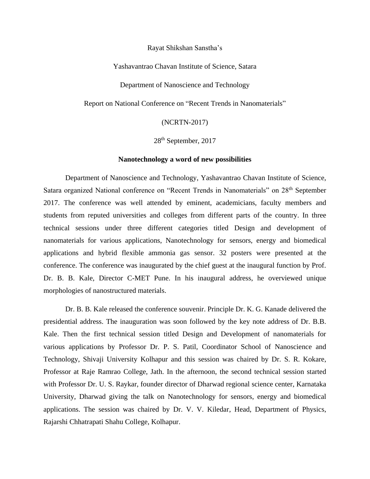Rayat Shikshan Sanstha's

Yashavantrao Chavan Institute of Science, Satara

Department of Nanoscience and Technology

Report on National Conference on "Recent Trends in Nanomaterials"

(NCRTN-2017)

28th September, 2017

## **Nanotechnology a word of new possibilities**

Department of Nanoscience and Technology, Yashavantrao Chavan Institute of Science, Satara organized National conference on "Recent Trends in Nanomaterials" on 28<sup>th</sup> September 2017. The conference was well attended by eminent, academicians, faculty members and students from reputed universities and colleges from different parts of the country. In three technical sessions under three different categories titled Design and development of nanomaterials for various applications, Nanotechnology for sensors, energy and biomedical applications and hybrid flexible ammonia gas sensor. 32 posters were presented at the conference. The conference was inaugurated by the chief guest at the inaugural function by Prof. Dr. B. B. Kale, Director C-MET Pune. In his inaugural address, he overviewed unique morphologies of nanostructured materials.

Dr. B. B. Kale released the conference souvenir. Principle Dr. K. G. Kanade delivered the presidential address. The inauguration was soon followed by the key note address of Dr. B.B. Kale. Then the first technical session titled Design and Development of nanomaterials for various applications by Professor Dr. P. S. Patil, Coordinator School of Nanoscience and Technology, Shivaji University Kolhapur and this session was chaired by Dr. S. R. Kokare, Professor at Raje Ramrao College, Jath. In the afternoon, the second technical session started with Professor Dr. U. S. Raykar, founder director of Dharwad regional science center, Karnataka University, Dharwad giving the talk on Nanotechnology for sensors, energy and biomedical applications. The session was chaired by Dr. V. V. Kiledar, Head, Department of Physics, Rajarshi Chhatrapati Shahu College, Kolhapur.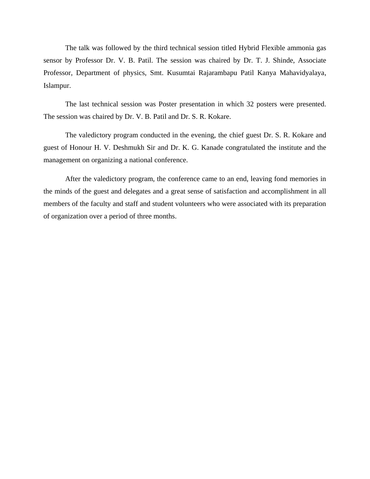The talk was followed by the third technical session titled Hybrid Flexible ammonia gas sensor by Professor Dr. V. B. Patil. The session was chaired by Dr. T. J. Shinde, Associate Professor, Department of physics, Smt. Kusumtai Rajarambapu Patil Kanya Mahavidyalaya, Islampur.

The last technical session was Poster presentation in which 32 posters were presented. The session was chaired by Dr. V. B. Patil and Dr. S. R. Kokare.

The valedictory program conducted in the evening, the chief guest Dr. S. R. Kokare and guest of Honour H. V. Deshmukh Sir and Dr. K. G. Kanade congratulated the institute and the management on organizing a national conference.

After the valedictory program, the conference came to an end, leaving fond memories in the minds of the guest and delegates and a great sense of satisfaction and accomplishment in all members of the faculty and staff and student volunteers who were associated with its preparation of organization over a period of three months.